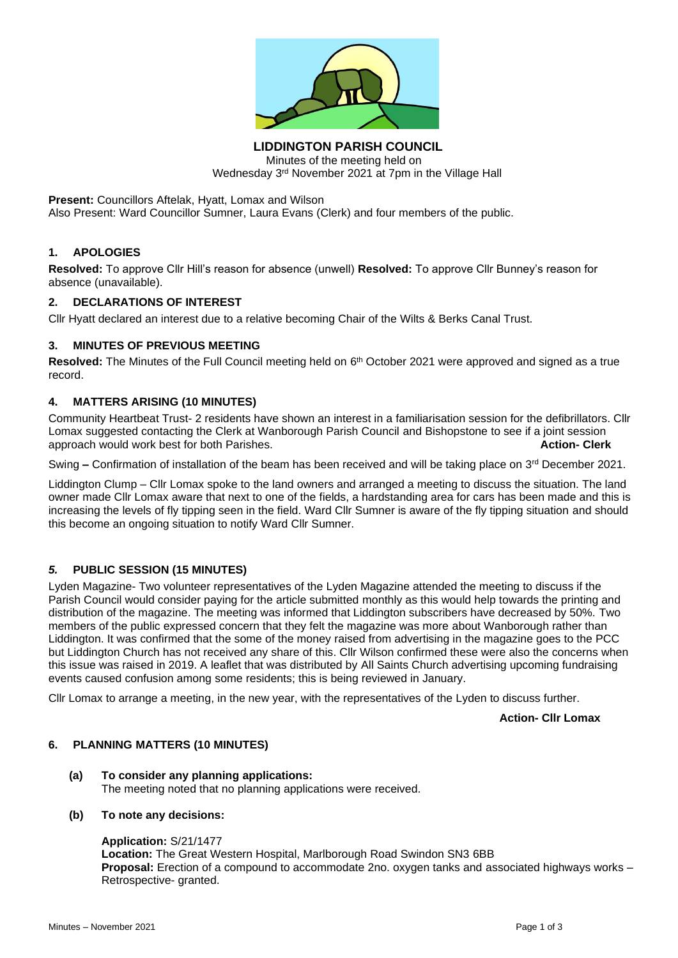

**LIDDINGTON PARISH COUNCIL** Minutes of the meeting held on Wednesday 3rd November 2021 at 7pm in the Village Hall

**Present:** Councillors Aftelak, Hyatt, Lomax and Wilson Also Present: Ward Councillor Sumner, Laura Evans (Clerk) and four members of the public.

## **1. APOLOGIES**

**Resolved:** To approve Cllr Hill's reason for absence (unwell) **Resolved:** To approve Cllr Bunney's reason for absence (unavailable).

### **2. DECLARATIONS OF INTEREST**

Cllr Hyatt declared an interest due to a relative becoming Chair of the Wilts & Berks Canal Trust.

# **3. MINUTES OF PREVIOUS MEETING**

Resolved: The Minutes of the Full Council meeting held on 6<sup>th</sup> October 2021 were approved and signed as a true record.

#### **4. MATTERS ARISING (10 MINUTES)**

Community Heartbeat Trust- 2 residents have shown an interest in a familiarisation session for the defibrillators. Cllr Lomax suggested contacting the Clerk at Wanborough Parish Council and Bishopstone to see if a joint session approach would work best for both Parishes. **Action- Clerk**

Swing **–** Confirmation of installation of the beam has been received and will be taking place on 3<sup>rd</sup> December 2021.

Liddington Clump – Cllr Lomax spoke to the land owners and arranged a meeting to discuss the situation. The land owner made Cllr Lomax aware that next to one of the fields, a hardstanding area for cars has been made and this is increasing the levels of fly tipping seen in the field. Ward Cllr Sumner is aware of the fly tipping situation and should this become an ongoing situation to notify Ward Cllr Sumner.

### *5.* **PUBLIC SESSION (15 MINUTES)**

Lyden Magazine- Two volunteer representatives of the Lyden Magazine attended the meeting to discuss if the Parish Council would consider paying for the article submitted monthly as this would help towards the printing and distribution of the magazine. The meeting was informed that Liddington subscribers have decreased by 50%. Two members of the public expressed concern that they felt the magazine was more about Wanborough rather than Liddington. It was confirmed that the some of the money raised from advertising in the magazine goes to the PCC but Liddington Church has not received any share of this. Cllr Wilson confirmed these were also the concerns when this issue was raised in 2019. A leaflet that was distributed by All Saints Church advertising upcoming fundraising events caused confusion among some residents; this is being reviewed in January.

Cllr Lomax to arrange a meeting, in the new year, with the representatives of the Lyden to discuss further.

**Action- Cllr Lomax** 

#### **6. PLANNING MATTERS (10 MINUTES)**

**(a) To consider any planning applications:** The meeting noted that no planning applications were received.

#### **(b) To note any decisions:**

#### **Application:** S/21/1477

**Location:** The Great Western Hospital, Marlborough Road Swindon SN3 6BB **Proposal:** Erection of a compound to accommodate 2no. oxygen tanks and associated highways works – Retrospective- granted.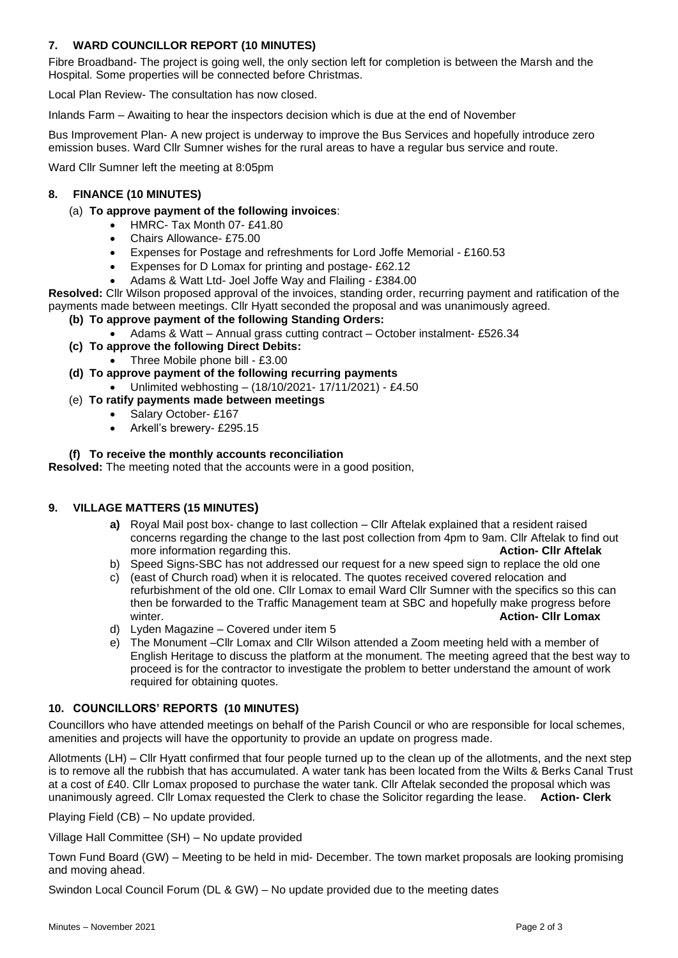# **7. WARD COUNCILLOR REPORT (10 MINUTES)**

Fibre Broadband- The project is going well, the only section left for completion is between the Marsh and the Hospital. Some properties will be connected before Christmas.

Local Plan Review- The consultation has now closed.

Inlands Farm – Awaiting to hear the inspectors decision which is due at the end of November

Bus Improvement Plan- A new project is underway to improve the Bus Services and hopefully introduce zero emission buses. Ward Cllr Sumner wishes for the rural areas to have a regular bus service and route.

Ward Cllr Sumner left the meeting at 8:05pm

### **8. FINANCE (10 MINUTES)**

- (a) **To approve payment of the following invoices**:
	- HMRC- Tax Month 07-£41.80
	- Chairs Allowance- £75.00
	- Expenses for Postage and refreshments for Lord Joffe Memorial £160.53
	- Expenses for D Lomax for printing and postage- £62.12
	- Adams & Watt Ltd- Joel Joffe Way and Flailing £384.00

**Resolved:** Cllr Wilson proposed approval of the invoices, standing order, recurring payment and ratification of the payments made between meetings. Cllr Hyatt seconded the proposal and was unanimously agreed.

- **(b) To approve payment of the following Standing Orders:**
	- Adams & Watt Annual grass cutting contract October instalment- £526.34
- **(c) To approve the following Direct Debits:**
	- Three Mobile phone bill £3.00
- **(d) To approve payment of the following recurring payments**
	- Unlimited webhosting (18/10/2021- 17/11/2021) £4.50
- (e) **To ratify payments made between meetings**
	- Salary October- £167
		- Arkell's brewery- £295.15

#### **(f) To receive the monthly accounts reconciliation**

**Resolved:** The meeting noted that the accounts were in a good position,

### **9. VILLAGE MATTERS (15 MINUTES)**

- **a)** Royal Mail post box- change to last collection Cllr Aftelak explained that a resident raised concerns regarding the change to the last post collection from 4pm to 9am. Cllr Aftelak to find out more information regarding this. **Action-** Cllr Aftelak
- b) Speed Signs-SBC has not addressed our request for a new speed sign to replace the old one
- c) (east of Church road) when it is relocated. The quotes received covered relocation and refurbishment of the old one. Cllr Lomax to email Ward Cllr Sumner with the specifics so this can then be forwarded to the Traffic Management team at SBC and hopefully make progress before winter. **Action- Cllr Lomax**
- d) Lyden Magazine Covered under item 5
- e) The Monument –Cllr Lomax and Cllr Wilson attended a Zoom meeting held with a member of English Heritage to discuss the platform at the monument. The meeting agreed that the best way to proceed is for the contractor to investigate the problem to better understand the amount of work required for obtaining quotes.

#### **10. COUNCILLORS' REPORTS (10 MINUTES)**

Councillors who have attended meetings on behalf of the Parish Council or who are responsible for local schemes, amenities and projects will have the opportunity to provide an update on progress made.

Allotments (LH) – Cllr Hyatt confirmed that four people turned up to the clean up of the allotments, and the next step is to remove all the rubbish that has accumulated. A water tank has been located from the Wilts & Berks Canal Trust at a cost of £40. Cllr Lomax proposed to purchase the water tank. Cllr Aftelak seconded the proposal which was unanimously agreed. Cllr Lomax requested the Clerk to chase the Solicitor regarding the lease. **Action- Clerk**

Playing Field (CB) – No update provided.

Village Hall Committee (SH) – No update provided

Town Fund Board (GW) – Meeting to be held in mid- December. The town market proposals are looking promising and moving ahead.

Swindon Local Council Forum (DL & GW) – No update provided due to the meeting dates